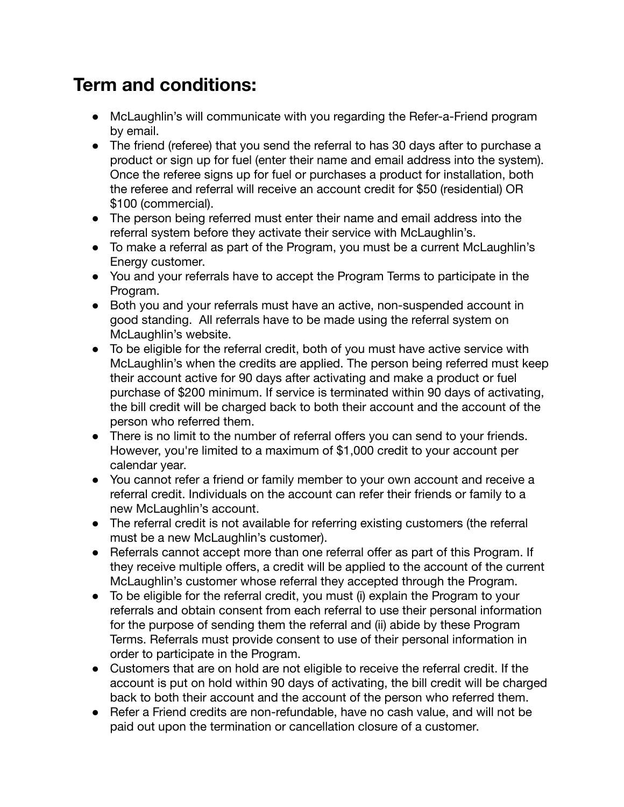## **Term and conditions:**

- McLaughlin's will communicate with you regarding the Refer-a-Friend program by email.
- The friend (referee) that you send the referral to has 30 days after to purchase a product or sign up for fuel (enter their name and email address into the system). Once the referee signs up for fuel or purchases a product for installation, both the referee and referral will receive an account credit for \$50 (residential) OR \$100 (commercial).
- The person being referred must enter their name and email address into the referral system before they activate their service with McLaughlin's.
- To make a referral as part of the Program, you must be a current McLaughlin's Energy customer.
- You and your referrals have to accept the Program Terms to participate in the Program.
- Both you and your referrals must have an active, non-suspended account in good standing. All referrals have to be made using the referral system on McLaughlin's website.
- To be eligible for the referral credit, both of you must have active service with McLaughlin's when the credits are applied. The person being referred must keep their account active for 90 days after activating and make a product or fuel purchase of \$200 minimum. If service is terminated within 90 days of activating, the bill credit will be charged back to both their account and the account of the person who referred them.
- There is no limit to the number of referral offers you can send to your friends. However, you're limited to a maximum of \$1,000 credit to your account per calendar year.
- You cannot refer a friend or family member to your own account and receive a referral credit. Individuals on the account can refer their friends or family to a new McLaughlin's account.
- The referral credit is not available for referring existing customers (the referral must be a new McLaughlin's customer).
- Referrals cannot accept more than one referral offer as part of this Program. If they receive multiple offers, a credit will be applied to the account of the current McLaughlin's customer whose referral they accepted through the Program.
- To be eligible for the referral credit, you must (i) explain the Program to your referrals and obtain consent from each referral to use their personal information for the purpose of sending them the referral and (ii) abide by these Program Terms. Referrals must provide consent to use of their personal information in order to participate in the Program.
- Customers that are on hold are not eligible to receive the referral credit. If the account is put on hold within 90 days of activating, the bill credit will be charged back to both their account and the account of the person who referred them.
- Refer a Friend credits are non-refundable, have no cash value, and will not be paid out upon the termination or cancellation closure of a customer.